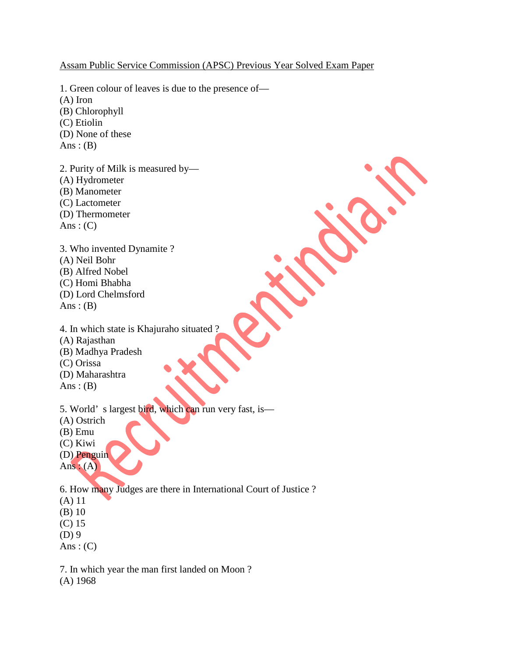Assam Public Service Commission (APSC) Previous Year Solved Exam Paper

1. Green colour of leaves is due to the presence of— (A) Iron (B) Chlorophyll (C) Etiolin (D) None of these Ans:  $(B)$ 2. Purity of Milk is measured by—

(A) Hydrometer (B) Manometer (C) Lactometer (D) Thermometer Ans:  $(C)$ 

3. Who invented Dynamite ? (A) Neil Bohr (B) Alfred Nobel (C) Homi Bhabha (D) Lord Chelmsford Ans :  $(B)$ 

4. In which state is Khajuraho situated ? (A) Rajasthan (B) Madhya Pradesh (C) Orissa (D) Maharashtra Ans:  $(B)$ 

5. World' s largest bird, which can run very fast, is—

(A) Ostrich

(B) Emu

(C) Kiwi

(D) Penguin Ans :  $(A)$ 

6. How many Judges are there in International Court of Justice ? (A) 11 (B) 10 (C) 15 (D) 9 Ans:  $(C)$ 

7. In which year the man first landed on Moon ? (A) 1968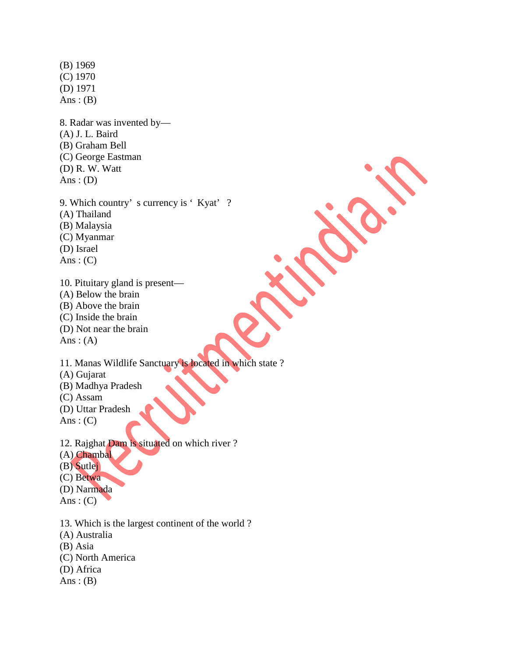(B) 1969 (C) 1970 (D) 1971 Ans:  $(B)$ 

8. Radar was invented by— (A) J. L. Baird (B) Graham Bell (C) George Eastman (D) R. W. Watt Ans:  $(D)$ 

9. Which country's currency is 'Kyat'? (A) Thailand (B) Malaysia (C) Myanmar (D) Israel Ans:  $(C)$ 

10. Pituitary gland is present— (A) Below the brain (B) Above the brain (C) Inside the brain (D) Not near the brain Ans:  $(A)$ 

11. Manas Wildlife Sanctuary is located in which state ? (A) Gujarat (B) Madhya Pradesh (C) Assam (D) Uttar Pradesh Ans:  $(C)$ 

12. Rajghat Dam is situated on which river ? (A) Chambal (B) Sutlej (C) Betwa (D) Narmada Ans:  $(C)$ 

13. Which is the largest continent of the world ?

(A) Australia

(B) Asia

(C) North America

(D) Africa

Ans:  $(B)$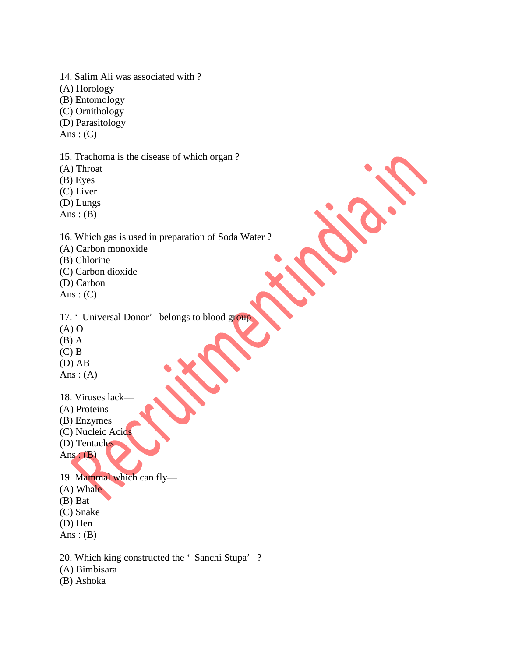14. Salim Ali was associated with ? (A) Horology (B) Entomology (C) Ornithology (D) Parasitology Ans:  $(C)$ 15. Trachoma is the disease of which organ ? (A) Throat (B) Eyes (C) Liver (D) Lungs Ans:  $(B)$ 

16. Which gas is used in preparation of Soda Water ?

(A) Carbon monoxide (B) Chlorine

(C) Carbon dioxide

(D) Carbon

Ans:  $(C)$ 

17. 'Universal Donor' belongs to blood group

 $(A)$  O

(B) A

(C) B

(D) AB

Ans:  $(A)$ 

18. Viruses lack—

(A) Proteins

(B) Enzymes

(C) Nucleic Acids

(D) Tentacles

Ans:  $(B)$ 

19. Mammal which can fly— (A) Whale (B) Bat (C) Snake (D) Hen Ans:  $(B)$ 

20. Which king constructed the ' Sanchi Stupa' ?

(A) Bimbisara

(B) Ashoka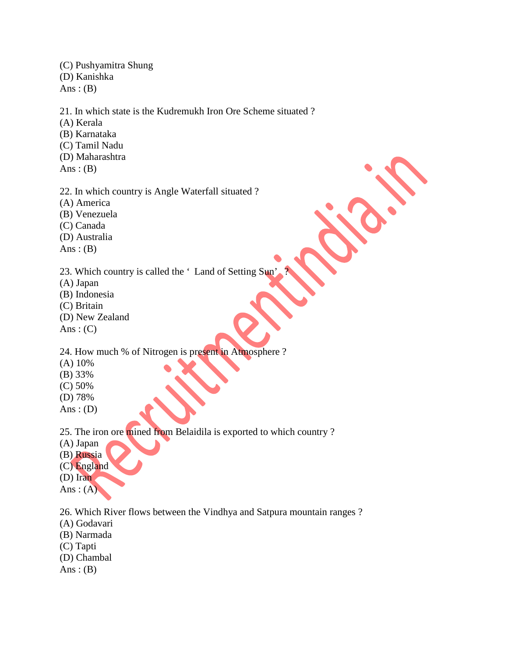(C) Pushyamitra Shung (D) Kanishka Ans:  $(B)$ 

21. In which state is the Kudremukh Iron Ore Scheme situated ?

(A) Kerala

- (B) Karnataka
- (C) Tamil Nadu
- (D) Maharashtra
- Ans:  $(B)$
- 22. In which country is Angle Waterfall situated ?
- (A) America
- (B) Venezuela
- (C) Canada
- (D) Australia
- Ans:  $(B)$
- 23. Which country is called the 'Land of Setting Sun
- (A) Japan
- (B) Indonesia
- (C) Britain
- (D) New Zealand
- Ans:  $(C)$

24. How much % of Nitrogen is present in Atmosphere ?

- (A) 10%
- (B) 33%
- (C) 50%
- (D) 78%
- Ans:  $(D)$

25. The iron ore mined from Belaidila is exported to which country ?

- (A) Japan
- (B) Russia
- (C) England
- (D) Iran
- Ans:  $(A)$

26. Which River flows between the Vindhya and Satpura mountain ranges ?

- (A) Godavari
- (B) Narmada
- (C) Tapti
- (D) Chambal
- Ans:  $(B)$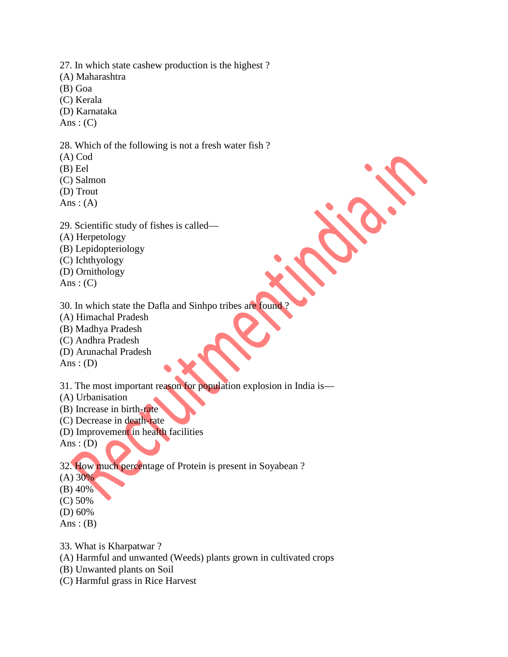27. In which state cashew production is the highest ? (A) Maharashtra (B) Goa (C) Kerala (D) Karnataka Ans:  $(C)$ 

28. Which of the following is not a fresh water fish ?

- (A) Cod
- (B) Eel
- (C) Salmon
- (D) Trout
- Ans:  $(A)$
- 29. Scientific study of fishes is called—
- (A) Herpetology
- (B) Lepidopteriology
- (C) Ichthyology
- (D) Ornithology
- Ans:  $(C)$
- 30. In which state the Dafla and Sinhpo tribes are found ?
- (A) Himachal Pradesh
- (B) Madhya Pradesh
- (C) Andhra Pradesh
- (D) Arunachal Pradesh
- Ans :  $(D)$

31. The most important reason for population explosion in India is—

- (A) Urbanisation
- (B) Increase in birth-rate
- (C) Decrease in death-rate
- (D) Improvement in health facilities
- Ans:  $(D)$

32. How much percentage of Protein is present in Soyabean ?

- $(A) 30%$
- (B) 40%
- (C) 50%
- (D) 60%
- Ans:  $(B)$
- 33. What is Kharpatwar ?
- (A) Harmful and unwanted (Weeds) plants grown in cultivated crops
- (B) Unwanted plants on Soil
- (C) Harmful grass in Rice Harvest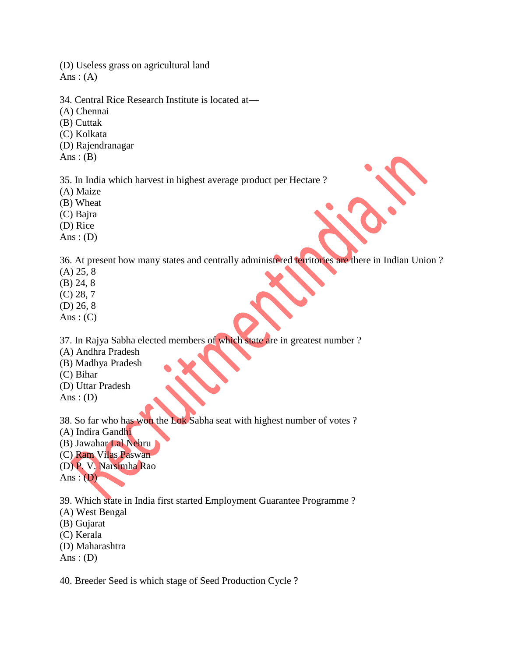(D) Useless grass on agricultural land Ans:  $(A)$ 

- 34. Central Rice Research Institute is located at—
- (A) Chennai
- (B) Cuttak
- (C) Kolkata
- (D) Rajendranagar

Ans:  $(B)$ 

35. In India which harvest in highest average product per Hectare ?

- (A) Maize
- (B) Wheat
- (C) Bajra
- (D) Rice
- Ans:  $(D)$

36. At present how many states and centrally administered territories are there in Indian Union ?

- (A) 25, 8
- (B) 24, 8
- (C) 28, 7
- (D) 26, 8
- Ans:  $(C)$

37. In Rajya Sabha elected members of which state are in greatest number ?

- (A) Andhra Pradesh
- (B) Madhya Pradesh
- (C) Bihar
- (D) Uttar Pradesh
- Ans :  $(D)$

38. So far who has won the Lok Sabha seat with highest number of votes ?

- (A) Indira Gandhi
- (B) Jawahar Lal Nehru
- (C) Ram Vilas Paswan
- (D) P. V. Narsimha Rao

Ans :  $(D)$ 

39. Which state in India first started Employment Guarantee Programme ?

- (A) West Bengal
- (B) Gujarat
- (C) Kerala
- (D) Maharashtra
- Ans:  $(D)$

40. Breeder Seed is which stage of Seed Production Cycle ?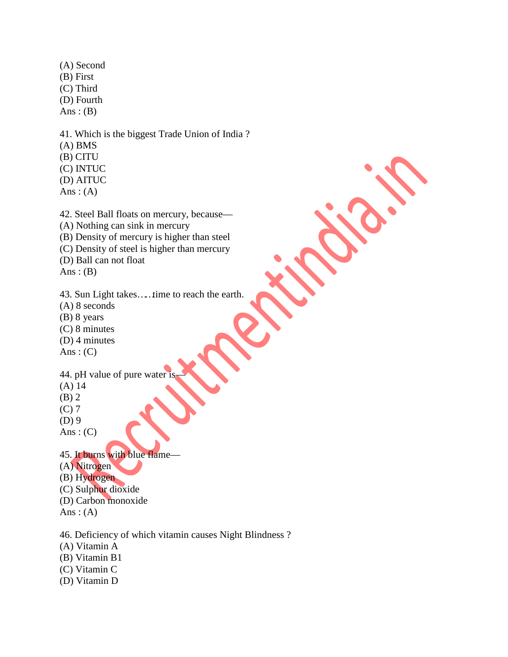(A) Second (B) First (C) Third (D) Fourth Ans :  $(B)$ 

41. Which is the biggest Trade Union of India ? (A) BMS (B) CITU (C) INTUC (D) AITUC Ans:  $(A)$ 

42. Steel Ball floats on mercury, because— (A) Nothing can sink in mercury (B) Density of mercury is higher than steel (C) Density of steel is higher than mercury (D) Ball can not float

Ans:  $(B)$ 

43. Sun Light takes……time to reach the earth.

- (A) 8 seconds
- (B) 8 years
- (C) 8 minutes
- (D) 4 minutes
- Ans:  $(C)$

44. pH value of pure water is

- (A) 14
- (B) 2
- (C) 7
- (D) 9
- Ans:  $(C)$

45. It burns with blue flame— (A) Nitrogen

(B) Hydrogen

- (C) Sulphur dioxide
- (D) Carbon monoxide
- 
- Ans:  $(A)$
- 46. Deficiency of which vitamin causes Night Blindness ?
- (A) Vitamin A
- (B) Vitamin B1
- (C) Vitamin C
- (D) Vitamin D